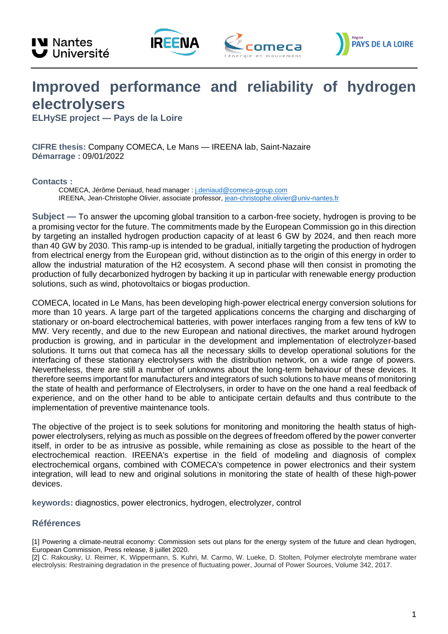







## **Improved performance and reliability of hydrogen electrolysers**

**ELHySE project — Pays de la Loire**

**CIFRE thesis:** Company COMECA, Le Mans — IREENA lab, Saint-Nazaire **Démarrage :** 09/01/2022

## **Contacts :**

COMECA, Jérôme Deniaud, head manager : [j.deniaud@comeca-group.com](mailto:j.deniaud@comeca-group.com) IREENA, Jean-Christophe Olivier, associate professor[, jean-christophe.olivier@univ-nantes.fr](mailto:jean-christophe.olivier@univ-nantes.fr)

**Subject —** To answer the upcoming global transition to a carbon-free society, hydrogen is proving to be a promising vector for the future. The commitments made by the European Commission go in this direction by targeting an installed hydrogen production capacity of at least 6 GW by 2024, and then reach more than 40 GW by 2030. This ramp-up is intended to be gradual, initially targeting the production of hydrogen from electrical energy from the European grid, without distinction as to the origin of this energy in order to allow the industrial maturation of the H2 ecosystem. A second phase will then consist in promoting the production of fully decarbonized hydrogen by backing it up in particular with renewable energy production solutions, such as wind, photovoltaics or biogas production.

COMECA, located in Le Mans, has been developing high-power electrical energy conversion solutions for more than 10 years. A large part of the targeted applications concerns the charging and discharging of stationary or on-board electrochemical batteries, with power interfaces ranging from a few tens of kW to MW. Very recently, and due to the new European and national directives, the market around hydrogen production is growing, and in particular in the development and implementation of electrolyzer-based solutions. It turns out that comeca has all the necessary skills to develop operational solutions for the interfacing of these stationary electrolysers with the distribution network, on a wide range of powers. Nevertheless, there are still a number of unknowns about the long-term behaviour of these devices. It therefore seems important for manufacturers and integrators of such solutions to have means of monitoring the state of health and performance of Electrolysers, in order to have on the one hand a real feedback of experience, and on the other hand to be able to anticipate certain defaults and thus contribute to the implementation of preventive maintenance tools.

The objective of the project is to seek solutions for monitoring and monitoring the health status of highpower electrolysers, relying as much as possible on the degrees of freedom offered by the power converter itself, in order to be as intrusive as possible, while remaining as close as possible to the heart of the electrochemical reaction. IREENA's expertise in the field of modeling and diagnosis of complex electrochemical organs, combined with COMECA's competence in power electronics and their system integration, will lead to new and original solutions in monitoring the state of health of these high-power devices.

**keywords:** diagnostics, power electronics, hydrogen, electrolyzer, control

## **Références**

<sup>[1]</sup> Powering a climate-neutral economy: Commission sets out plans for the energy system of the future and clean hydrogen, European Commission, Press release, 8 juillet 2020.

<sup>[2]</sup> C. Rakousky, U. Reimer, K. Wippermann, S. Kuhri, M. Carmo, W. Lueke, D. Stolten, Polymer electrolyte membrane water electrolysis: Restraining degradation in the presence of fluctuating power, Journal of Power Sources, Volume 342, 2017.